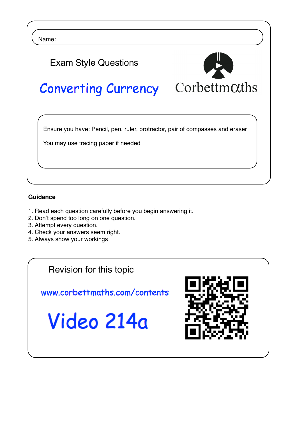Name:



## **Guidance**

 $\overline{\phantom{0}}$ 

- 1. Read each question carefully before you begin answering it.
- 2. Don't spend too long on one question.
- 3. Attempt every question.
- 4. Check your answers seem right.
- 5. Always show your workings

Revision for this topic

www.corbettmaths.com/contents

Video 214a

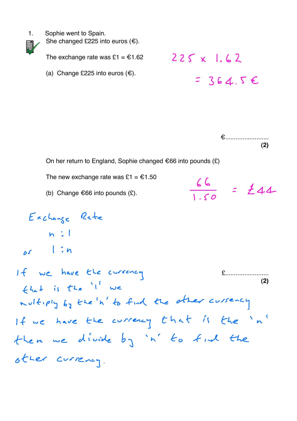1. Sophie went to Spain.

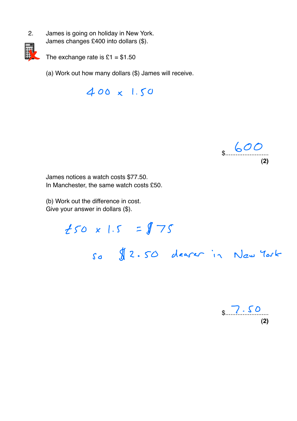2. James is going on holiday in New York. James changes £400 into dollars (\$).



The exchange rate is  $£1 = $1.50$ 

(a) Work out how many dollars (\$) James will receive.

400 x 1.50



James notices a watch costs \$77.50. In Manchester, the same watch costs £50.

(b) Work out the difference in cost. Give your answer in dollars (\$).

> $t50 \times 1.5 = 175$ so 2.50 dearer in New York

 $\frac{2.50}{1.50}$ **(2)**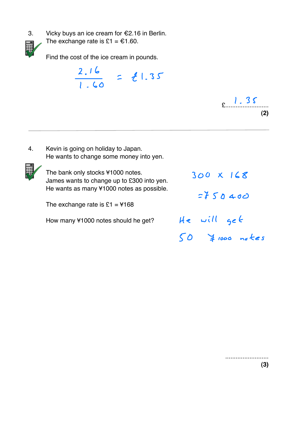



The exchange rate is £1 =  $€1.60$ .

Find the cost of the ice cream in pounds.

2.16 l.60 1.35



4. Kevin is going on holiday to Japan. He wants to change some money into yen.



The bank only stocks ¥1000 notes. James wants to change up to £300 into yen. He wants as many ¥1000 notes as possible.

The exchange rate is  $£1 = 4168$ 

How many ¥1000 notes should he get?

300 X 168  $7750400$ He will get  $50$   $\frac{1}{4}$  1000 notes

> ......................... **(3)**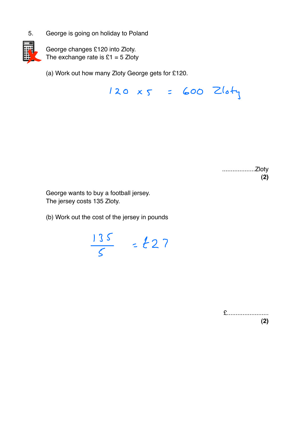5. George is going on holiday to Poland



George changes £120 into Zloty. The exchange rate is  $£1 = 5$  Zloty

(a) Work out how many Zloty George gets for £120.

 $120 x5 = 600$  Zloty

...................Zloty **(2)**

George wants to buy a football jersey. The jersey costs 135 Zloty.

(b) Work out the cost of the jersey in pounds

<u>| J S</u> 5  $\mathbf{2}$ 

£........................ **(2)**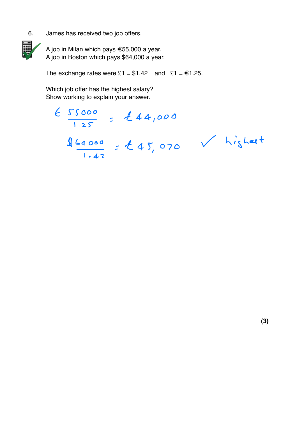6. James has received two job offers.



A job in Milan which pays €55,000 a year. A job in Boston which pays \$64,000 a year.

The exchange rates were  $£1 = $1.42$  and  $£1 = £1.25$ .

Which job offer has the highest salary? Show working to explain your answer.